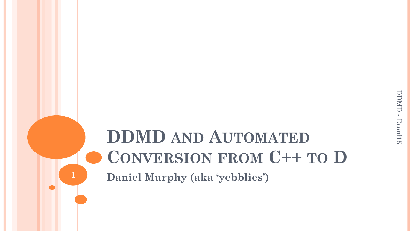## **DDMD AND AUTOMATED CONVERSION FROM C++ TO D Daniel Murphy (aka 'yebblies')**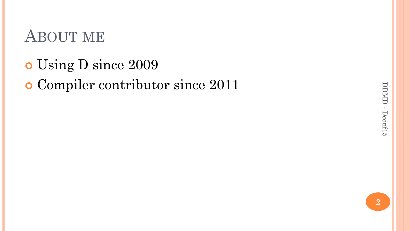### ABOUT ME

o Using D since 2009

#### Compiler contributor since 2011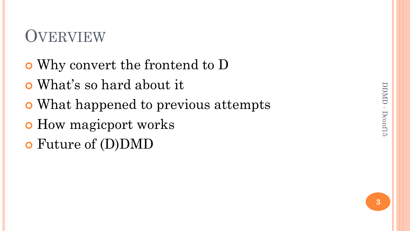# DDMD - DDMD - Dconf15

# **OVERVIEW**

- Why convert the frontend to D
- What"s so hard about it
- What happened to previous attempts
- **o** How magicport works
- Future of (D)DMD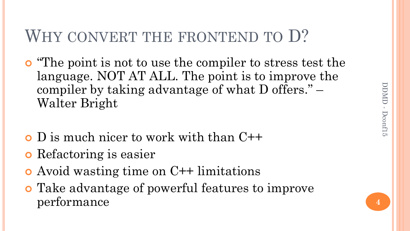## WHY CONVERT THE FRONTEND TO D?

- "The point is not to use the compiler to stress test the language. NOT AT ALL. The point is to improve the compiler by taking advantage of what D offers." – Walter Bright
- D is much nicer to work with than C++
- Refactoring is easier
- Avoid wasting time on C++ limitations
- Take advantage of powerful features to improve performance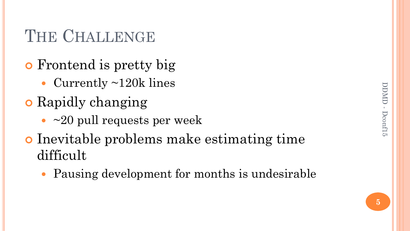## THE CHALLENGE

- **o** Frontend is pretty big
	- Currently ~120k lines
- **o** Rapidly changing
	- $\cdot$  ~20 pull requests per week
- Inevitable problems make estimating time difficult
	- Pausing development for months is undesirable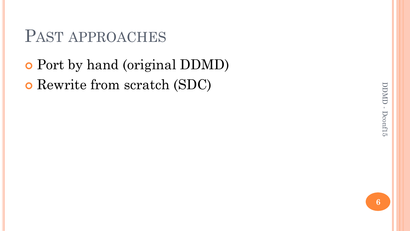#### PAST APPROACHES

## Port by hand (original DDMD) Rewrite from scratch (SDC)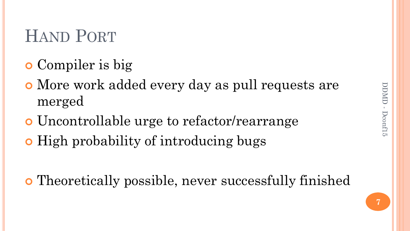## HAND PORT

- **o** Compiler is big
- More work added every day as pull requests are merged
- Uncontrollable urge to refactor/rearrange
- **•** High probability of introducing bugs
- Theoretically possible, never successfully finished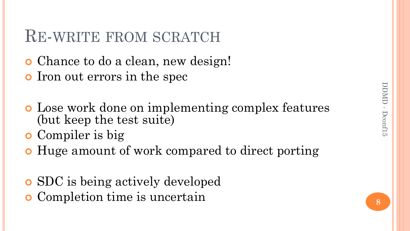#### RE-WRITE FROM SCRATCH

- Chance to do a clean, new design!
- o Iron out errors in the spec
- Lose work done on implementing complex features (but keep the test suite)
- **o** Compiler is big
- Huge amount of work compared to direct porting
- SDC is being actively developed
- Completion time is uncertain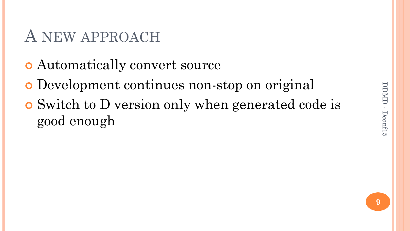### A NEW APPROACH

- Automatically convert source
- Development continues non-stop on original
- Switch to D version only when generated code is good enough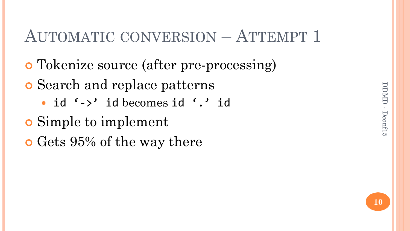## AUTOMATIC CONVERSION – ATTEMPT 1

- Tokenize source (after pre-processing)
- Search and replace patterns
	- id '->' id becomes id '.' id
- Simple to implement
- **o** Gets 95% of the way there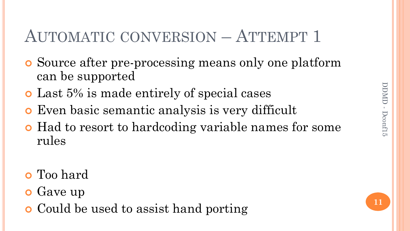# AUTOMATIC CONVERSION – ATTEMPT 1

- Source after pre-processing means only one platform can be supported
- Last 5% is made entirely of special cases
- Even basic semantic analysis is very difficult
- Had to resort to hardcoding variable names for some rules
- Too hard
- **o** Gave up
- **o** Could be used to assist hand porting

**11**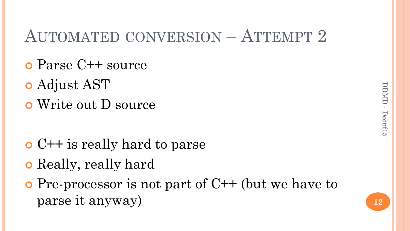#### AUTOMATED CONVERSION – ATTEMPT 2

- Parse C++ source
- Adjust AST
- Write out D source

- C++ is really hard to parse
- **o** Really, really hard
- $\bullet$  Pre-processor is not part of C++ (but we have to parse it anyway)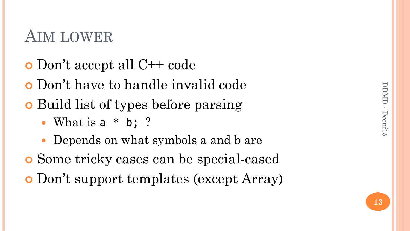#### AIM LOWER

- Don"t accept all C++ code
- Don"t have to handle invalid code
- Build list of types before parsing
	- What is a \* b; ?
	- Depends on what symbols a and b are
- Some tricky cases can be special-cased
- Don"t support templates (except Array)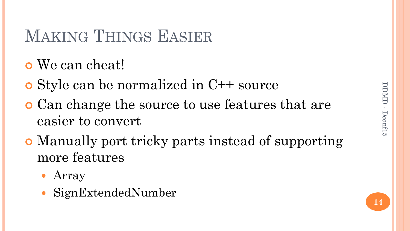## MAKING THINGS EASIER

- We can cheat!
- Style can be normalized in C++ source
- Can change the source to use features that are easier to convert
- Manually port tricky parts instead of supporting more features
	- Array
	- SignExtendedNumber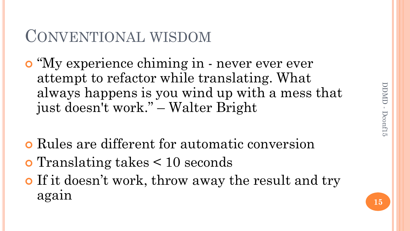#### CONVENTIONAL WISDOM

- o "My experience chiming in never ever ever attempt to refactor while translating. What always happens is you wind up with a mess that just doesn't work." – Walter Bright
- Rules are different for automatic conversion
- Translating takes < 10 seconds
- **o** If it doesn't work, throw away the result and try again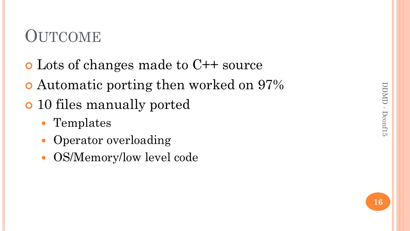# DDMD - DDMD - Dconf15

## **OUTCOME**

- Lots of changes made to C++ source
- Automatic porting then worked on 97%
- 10 files manually ported
	- Templates
	- Operator overloading
	- OS/Memory/low level code

**16**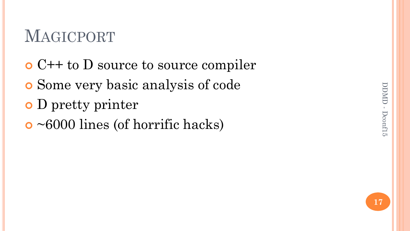# DDMD - DDMD - Dconf15

## MAGICPORT

- C++ to D source to source compiler
- Some very basic analysis of code
- D pretty printer
- ~6000 lines (of horrific hacks)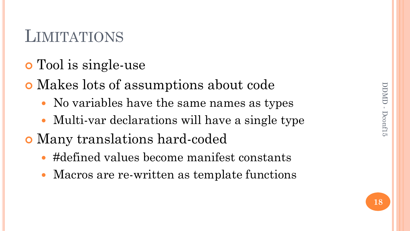## **LIMITATIONS**

- Tool is single-use
- Makes lots of assumptions about code
	- No variables have the same names as types
	- Multi-var declarations will have a single type
- Many translations hard-coded
	- #defined values become manifest constants
	- Macros are re-written as template functions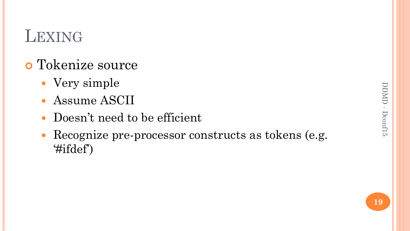## LEXING

#### Tokenize source

- Very simple
- Assume ASCII
- Doesn"t need to be efficient
- Recognize pre-processor constructs as tokens (e.g. "#ifdef")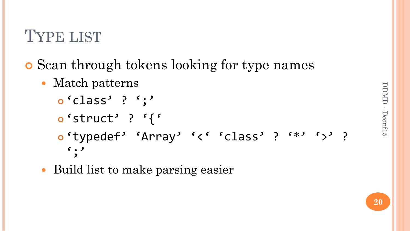## TYPE LIST

- **o** Scan through tokens looking for type names
	- Match patterns
		- $o'class'$  ? ';'
		- o'struct' ? '{'
		- o'typedef' 'Array' '<' 'class' ? '\*' '>' ?  $\left( \begin{array}{c} 1 \\ 1 \end{array} \right)$
	- Build list to make parsing easier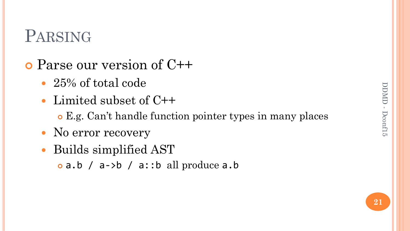### PARSING

- Parse our version of C++
	- 25% of total code
	- Limited subset of C++
		- E.g. Can"t handle function pointer types in many places
	- No error recovery
	- Builds simplified AST
		- $\circ$  a.b / a->b / a::b all produce a.b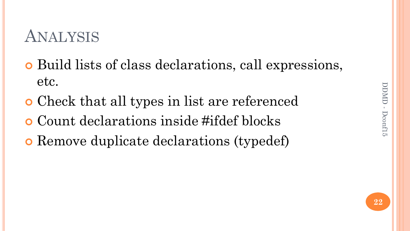### ANALYSIS

- Build lists of class declarations, call expressions, etc.
- Check that all types in list are referenced
- Count declarations inside #ifdef blocks
- Remove duplicate declarations (typedef)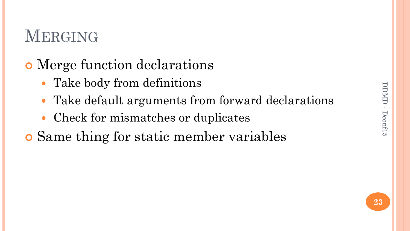## MERGING

#### Merge function declarations

- Take body from definitions
- Take default arguments from forward declarations
- Check for mismatches or duplicates

Same thing for static member variables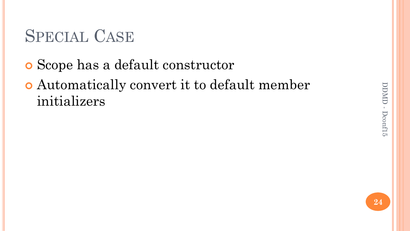# DDMD - DDMD - Dconf15

# SPECIAL CASE

- Scope has a default constructor
- Automatically convert it to default member initializers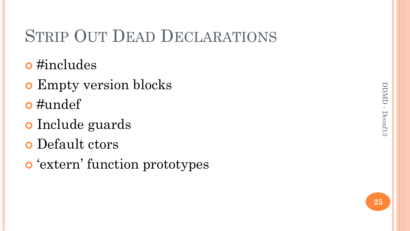# DDMD - DDMD - Dconf15

## STRIP OUT DEAD DECLARATIONS

- o #includes
- **o** Empty version blocks
- $\bullet$ #undef
- o Include guards
- Default ctors
- **o** 'extern' function prototypes

**25**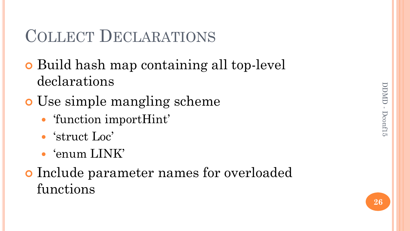### COLLECT DECLARATIONS

- Build hash map containing all top-level declarations
- Use simple mangling scheme
	- 'function importHint'
	- 'struct Loc'
	- 'enum LINK'
- Include parameter names for overloaded functions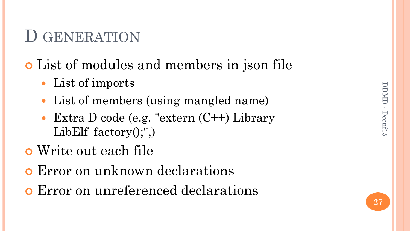#### D GENERATION

#### List of modules and members in json file

- List of imports
- List of members (using mangled name)
- Extra D code (e.g. "extern (C++) Library  $LibEIf_factor(y, "$
- Write out each file
- Error on unknown declarations
- Error on unreferenced declarations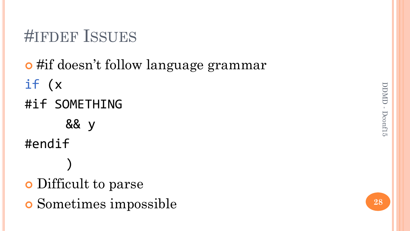## #IFDEF ISSUES

# o #if doesn't follow language grammar if (x #if SOMETHING && y #endif) Difficult to parse Sometimes impossible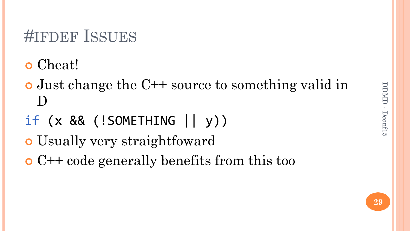# DDMD - DDMD - Dconf15

### #IFDEF ISSUES

- Cheat!
- Just change the C++ source to something valid in D
- if (x && (!SOMETHING || y))
- Usually very straightfoward
- C++ code generally benefits from this too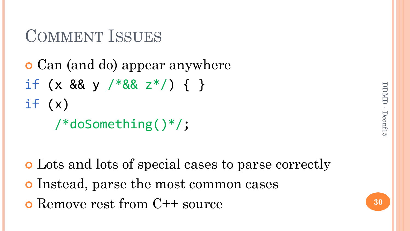## COMMENT ISSUES

```
 Can (and do) appear anywhere
if (x \&8y \frac{88}{x^*}) { }
if (x) /*doSomething()*/;
```
 Lots and lots of special cases to parse correctly Instead, parse the most common cases Remove rest from C++ source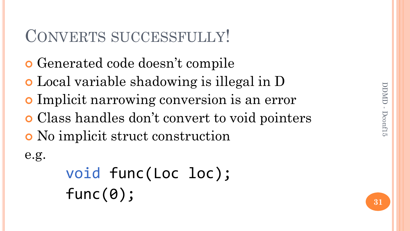#### CONVERTS SUCCESSFULLY!

- Generated code doesn"t compile
- Local variable shadowing is illegal in D
- Implicit narrowing conversion is an error
- Class handles don"t convert to void pointers
- No implicit struct construction

e.g.

void func(Loc loc); func(0);

**31**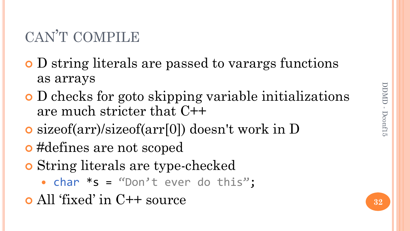#### CAN"T COMPILE

- D string literals are passed to varargs functions as arrays
- D checks for goto skipping variable initializations are much stricter that C++
- sizeof(arr)/sizeof(arr[0]) doesn't work in D
- #defines are not scoped
- String literals are type-checked
	- $\bullet$  char  $*$ s = "Don't ever do this";
- All "fixed" in C++ source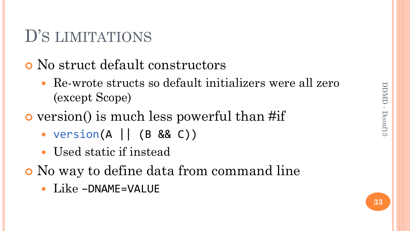## D'S LIMITATIONS

#### No struct default constructors

- Re-wrote structs so default initializers were all zero (except Scope)
- version() is much less powerful than #if
	- $version(A \mid \mid (B \& C))$
	- Used static if instead
- No way to define data from command line
	- Like -DNAME=VALUE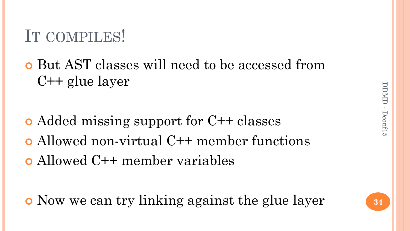## IT COMPILES!

 But AST classes will need to be accessed from C++ glue layer

 Added missing support for C++ classes Allowed non-virtual C++ member functions Allowed C++ member variables

Now we can try linking against the glue layer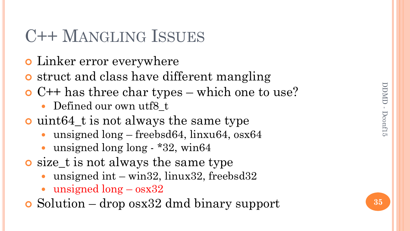## C++ MANGLING ISSUES

- Linker error everywhere
- **o** struct and class have different mangling
- C++ has three char types which one to use?
	- Defined our own utf8 t
- uint64\_t is not always the same type
	- unsigned long freebsd64, linxu64, osx64
	- unsigned long long \*32, win64
- size\_t is not always the same type
	- unsigned int win32, linux32, freebsd32
	- unsigned long osx32
- Solution drop osx32 dmd binary support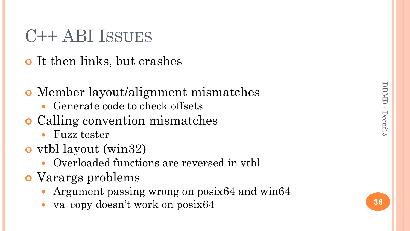## C++ ABI ISSUES

- **o** It then links, but crashes
- Member layout/alignment mismatches
	- Generate code to check offsets
- Calling convention mismatches
	- Fuzz tester
- vtbl layout (win32)
	- Overloaded functions are reversed in vtbl
- Varargs problems
	- Argument passing wrong on posix64 and win64
	- va\_copy doesn't work on posix64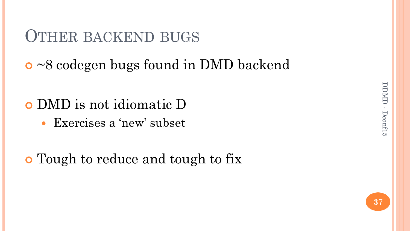#### OTHER BACKEND BUGS

~8 codegen bugs found in DMD backend

#### DMD is not idiomatic D

• Exercises a 'new' subset

#### Tough to reduce and tough to fix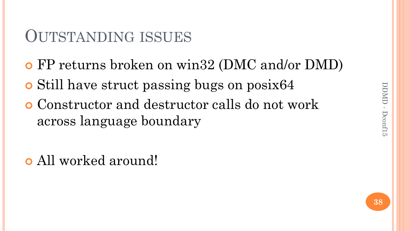# DDMD - DDMD - Dconf15

#### OUTSTANDING ISSUES

- FP returns broken on win32 (DMC and/or DMD)
- Still have struct passing bugs on posix64
- Constructor and destructor calls do not work across language boundary

All worked around!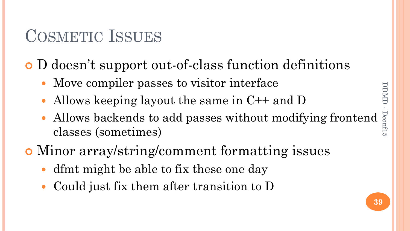# DDMD-DDMD - Dconf15

## COSMETIC ISSUES

D doesn"t support out-of-class function definitions

- Move compiler passes to visitor interface
- Allows keeping layout the same in C++ and D
- Allows backends to add passes without modifying frontend classes (sometimes)
- Minor array/string/comment formatting issues
	- dfmt might be able to fix these one day
	- Could just fix them after transition to D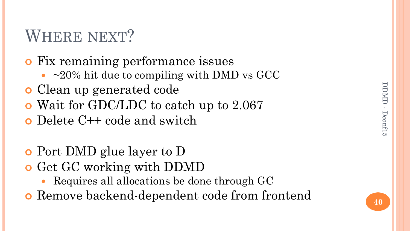## WHERE NEXT?

#### Fix remaining performance issues

- $\sim$  ~20% hit due to compiling with DMD vs GCC
- Clean up generated code
- Wait for GDC/LDC to catch up to 2.067
- Delete C++ code and switch
- Port DMD glue layer to D
- **o** Get GC working with DDMD
	- Requires all allocations be done through GC
- Remove backend-dependent code from frontend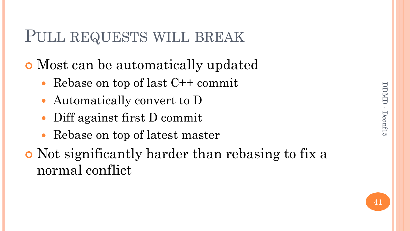**41**

#### PULL REQUESTS WILL BREAK

- Most can be automatically updated
	- Rebase on top of last C++ commit
	- Automatically convert to D
	- Diff against first D commit
	- Rebase on top of latest master
- Not significantly harder than rebasing to fix a normal conflict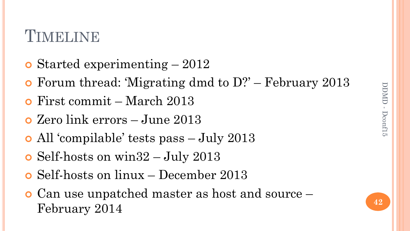#### **TIMELINE**

- Started experimenting 2012
- Forum thread: "Migrating dmd to D?" February 2013
- First commit March 2013
- Zero link errors June 2013
- All "compilable" tests pass July 2013
- Self-hosts on win32 July 2013
- Self-hosts on linux December 2013
- Can use unpatched master as host and source February 2014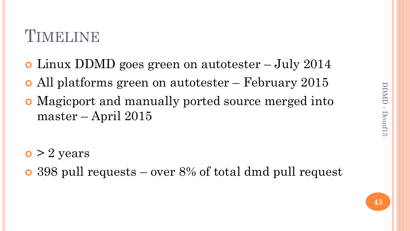#### TIMELINE

- Linux DDMD goes green on autotester July 2014
- All platforms green on autotester February 2015
- Magicport and manually ported source merged into master – April 2015

- $\bullet$  > 2 years
- 398 pull requests over 8% of total dmd pull request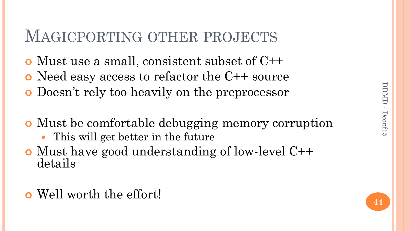#### MAGICPORTING OTHER PROJECTS

- Must use a small, consistent subset of C++
- Need easy access to refactor the C++ source
- Doesn"t rely too heavily on the preprocessor
- Must be comfortable debugging memory corruption
	- This will get better in the future
- Must have good understanding of low-level C++ details
- Well worth the effort!